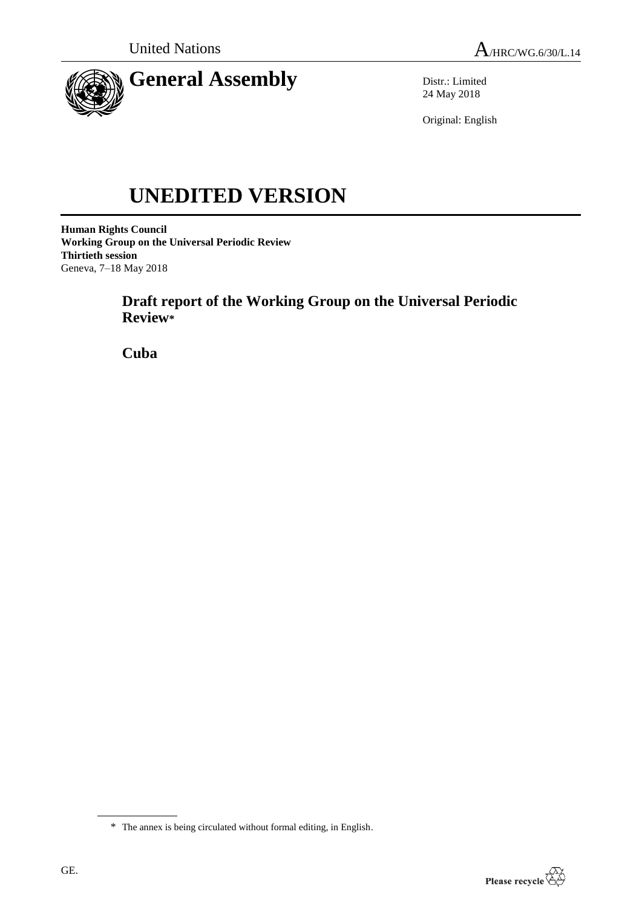

Distr.: Limited 24 May 2018

Original: English

# **UNEDITED VERSION**

**Human Rights Council Working Group on the Universal Periodic Review Thirtieth session** Geneva, 7–18 May 2018

> **Draft report of the Working Group on the Universal Periodic Review\***

**Cuba**



<sup>\*</sup> The annex is being circulated without formal editing, in English.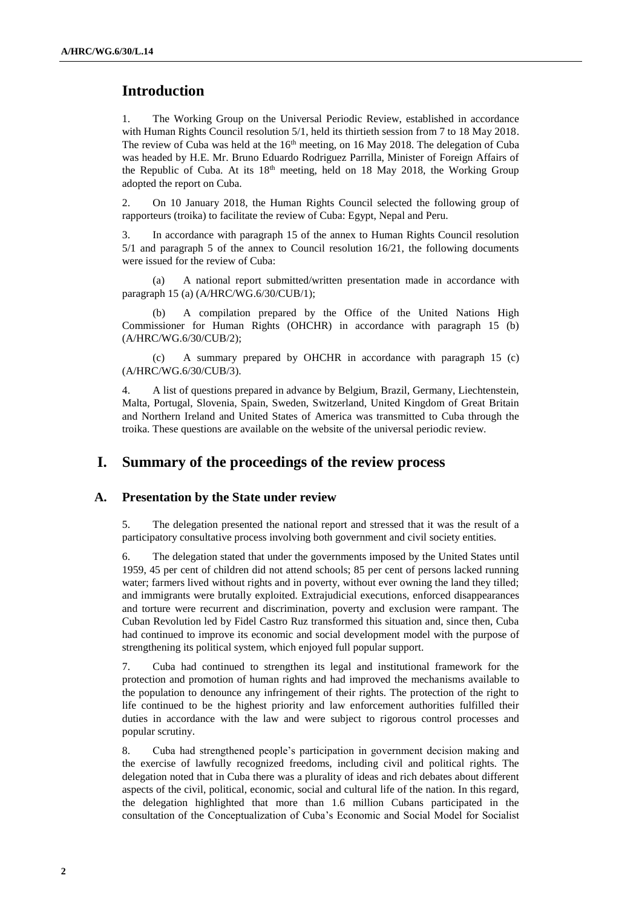## **Introduction**

1. The Working Group on the Universal Periodic Review, established in accordance with Human Rights Council resolution  $5/1$ , held its thirtieth session from 7 to 18 May 2018. The review of Cuba was held at the  $16<sup>th</sup>$  meeting, on 16 May 2018. The delegation of Cuba was headed by H.E. Mr. Bruno Eduardo Rodriguez Parrilla, Minister of Foreign Affairs of the Republic of Cuba. At its 18<sup>th</sup> meeting, held on 18 May 2018, the Working Group adopted the report on Cuba.

2. On 10 January 2018, the Human Rights Council selected the following group of rapporteurs (troika) to facilitate the review of Cuba: Egypt, Nepal and Peru.

3. In accordance with paragraph 15 of the annex to Human Rights Council resolution 5/1 and paragraph 5 of the annex to Council resolution 16/21, the following documents were issued for the review of Cuba:

(a) A national report submitted/written presentation made in accordance with paragraph 15 (a) (A/HRC/WG.6/30/CUB/1);

(b) A compilation prepared by the Office of the United Nations High Commissioner for Human Rights (OHCHR) in accordance with paragraph 15 (b) (A/HRC/WG.6/30/CUB/2);

(c) A summary prepared by OHCHR in accordance with paragraph 15 (c) (A/HRC/WG.6/30/CUB/3).

4. A list of questions prepared in advance by Belgium, Brazil, Germany, Liechtenstein, Malta, Portugal, Slovenia, Spain, Sweden, Switzerland, United Kingdom of Great Britain and Northern Ireland and United States of America was transmitted to Cuba through the troika. These questions are available on the website of the universal periodic review.

## **I. Summary of the proceedings of the review process**

#### **A. Presentation by the State under review**

5. The delegation presented the national report and stressed that it was the result of a participatory consultative process involving both government and civil society entities.

6. The delegation stated that under the governments imposed by the United States until 1959, 45 per cent of children did not attend schools; 85 per cent of persons lacked running water; farmers lived without rights and in poverty, without ever owning the land they tilled; and immigrants were brutally exploited. Extrajudicial executions, enforced disappearances and torture were recurrent and discrimination, poverty and exclusion were rampant. The Cuban Revolution led by Fidel Castro Ruz transformed this situation and, since then, Cuba had continued to improve its economic and social development model with the purpose of strengthening its political system, which enjoyed full popular support.

7. Cuba had continued to strengthen its legal and institutional framework for the protection and promotion of human rights and had improved the mechanisms available to the population to denounce any infringement of their rights. The protection of the right to life continued to be the highest priority and law enforcement authorities fulfilled their duties in accordance with the law and were subject to rigorous control processes and popular scrutiny.

8. Cuba had strengthened people's participation in government decision making and the exercise of lawfully recognized freedoms, including civil and political rights. The delegation noted that in Cuba there was a plurality of ideas and rich debates about different aspects of the civil, political, economic, social and cultural life of the nation. In this regard, the delegation highlighted that more than 1.6 million Cubans participated in the consultation of the Conceptualization of Cuba's Economic and Social Model for Socialist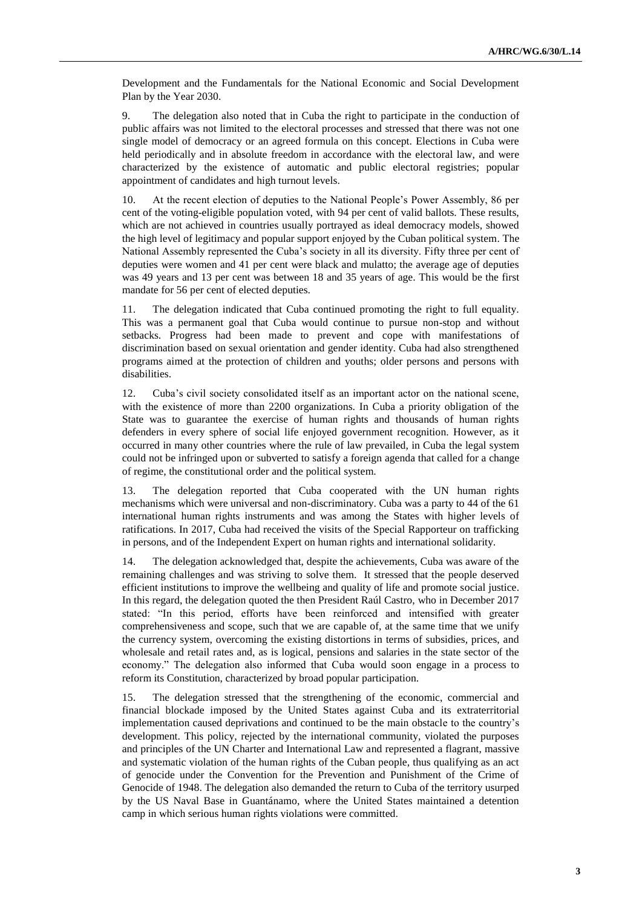Development and the Fundamentals for the National Economic and Social Development Plan by the Year 2030.

9. The delegation also noted that in Cuba the right to participate in the conduction of public affairs was not limited to the electoral processes and stressed that there was not one single model of democracy or an agreed formula on this concept. Elections in Cuba were held periodically and in absolute freedom in accordance with the electoral law, and were characterized by the existence of automatic and public electoral registries; popular appointment of candidates and high turnout levels.

10. At the recent election of deputies to the National People's Power Assembly, 86 per cent of the voting-eligible population voted, with 94 per cent of valid ballots. These results, which are not achieved in countries usually portrayed as ideal democracy models, showed the high level of legitimacy and popular support enjoyed by the Cuban political system. The National Assembly represented the Cuba's society in all its diversity. Fifty three per cent of deputies were women and 41 per cent were black and mulatto; the average age of deputies was 49 years and 13 per cent was between 18 and 35 years of age. This would be the first mandate for 56 per cent of elected deputies.

11. The delegation indicated that Cuba continued promoting the right to full equality. This was a permanent goal that Cuba would continue to pursue non-stop and without setbacks. Progress had been made to prevent and cope with manifestations of discrimination based on sexual orientation and gender identity. Cuba had also strengthened programs aimed at the protection of children and youths; older persons and persons with disabilities.

12. Cuba's civil society consolidated itself as an important actor on the national scene, with the existence of more than 2200 organizations. In Cuba a priority obligation of the State was to guarantee the exercise of human rights and thousands of human rights defenders in every sphere of social life enjoyed government recognition. However, as it occurred in many other countries where the rule of law prevailed, in Cuba the legal system could not be infringed upon or subverted to satisfy a foreign agenda that called for a change of regime, the constitutional order and the political system.

13. The delegation reported that Cuba cooperated with the UN human rights mechanisms which were universal and non-discriminatory. Cuba was a party to 44 of the 61 international human rights instruments and was among the States with higher levels of ratifications. In 2017, Cuba had received the visits of the Special Rapporteur on trafficking in persons, and of the Independent Expert on human rights and international solidarity.

14. The delegation acknowledged that, despite the achievements, Cuba was aware of the remaining challenges and was striving to solve them. It stressed that the people deserved efficient institutions to improve the wellbeing and quality of life and promote social justice. In this regard, the delegation quoted the then President Raúl Castro, who in December 2017 stated: "In this period, efforts have been reinforced and intensified with greater comprehensiveness and scope, such that we are capable of, at the same time that we unify the currency system, overcoming the existing distortions in terms of subsidies, prices, and wholesale and retail rates and, as is logical, pensions and salaries in the state sector of the economy." The delegation also informed that Cuba would soon engage in a process to reform its Constitution, characterized by broad popular participation.

15. The delegation stressed that the strengthening of the economic, commercial and financial blockade imposed by the United States against Cuba and its extraterritorial implementation caused deprivations and continued to be the main obstacle to the country's development. This policy, rejected by the international community, violated the purposes and principles of the UN Charter and International Law and represented a flagrant, massive and systematic violation of the human rights of the Cuban people, thus qualifying as an act of genocide under the Convention for the Prevention and Punishment of the Crime of Genocide of 1948. The delegation also demanded the return to Cuba of the territory usurped by the US Naval Base in Guantánamo, where the United States maintained a detention camp in which serious human rights violations were committed.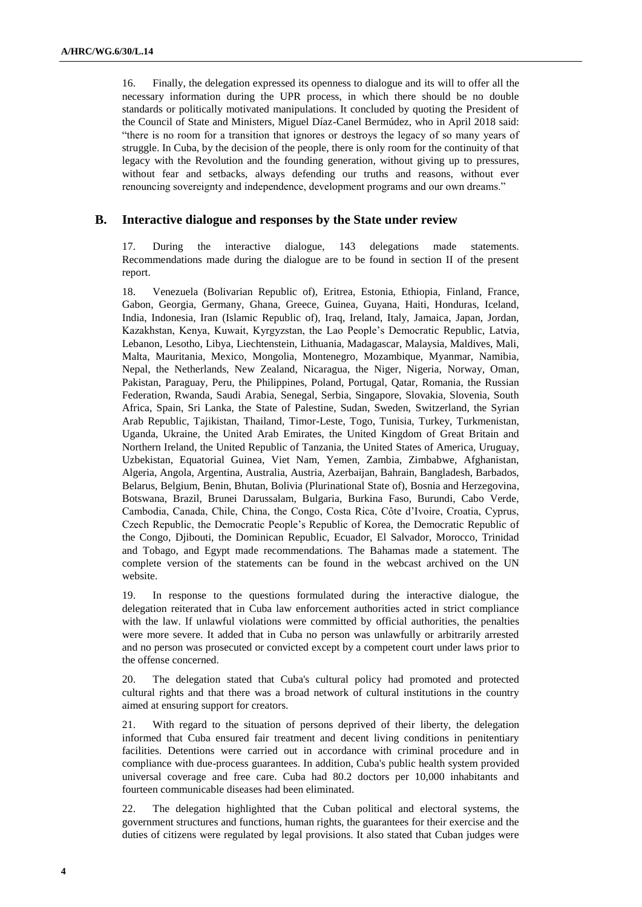16. Finally, the delegation expressed its openness to dialogue and its will to offer all the necessary information during the UPR process, in which there should be no double standards or politically motivated manipulations. It concluded by quoting the President of the Council of State and Ministers, Miguel Díaz-Canel Bermúdez, who in April 2018 said: "there is no room for a transition that ignores or destroys the legacy of so many years of struggle. In Cuba, by the decision of the people, there is only room for the continuity of that legacy with the Revolution and the founding generation, without giving up to pressures, without fear and setbacks, always defending our truths and reasons, without ever renouncing sovereignty and independence, development programs and our own dreams."

#### **B. Interactive dialogue and responses by the State under review**

17. During the interactive dialogue, 143 delegations made statements. Recommendations made during the dialogue are to be found in section II of the present report.

18. Venezuela (Bolivarian Republic of), Eritrea, Estonia, Ethiopia, Finland, France, Gabon, Georgia, Germany, Ghana, Greece, Guinea, Guyana, Haiti, Honduras, Iceland, India, Indonesia, Iran (Islamic Republic of), Iraq, Ireland, Italy, Jamaica, Japan, Jordan, Kazakhstan, Kenya, Kuwait, Kyrgyzstan, the Lao People's Democratic Republic, Latvia, Lebanon, Lesotho, Libya, Liechtenstein, Lithuania, Madagascar, Malaysia, Maldives, Mali, Malta, Mauritania, Mexico, Mongolia, Montenegro, Mozambique, Myanmar, Namibia, Nepal, the Netherlands, New Zealand, Nicaragua, the Niger, Nigeria, Norway, Oman, Pakistan, Paraguay, Peru, the Philippines, Poland, Portugal, Qatar, Romania, the Russian Federation, Rwanda, Saudi Arabia, Senegal, Serbia, Singapore, Slovakia, Slovenia, South Africa, Spain, Sri Lanka, the State of Palestine, Sudan, Sweden, Switzerland, the Syrian Arab Republic, Tajikistan, Thailand, Timor-Leste, Togo, Tunisia, Turkey, Turkmenistan, Uganda, Ukraine, the United Arab Emirates, the United Kingdom of Great Britain and Northern Ireland, the United Republic of Tanzania, the United States of America, Uruguay, Uzbekistan, Equatorial Guinea, Viet Nam, Yemen, Zambia, Zimbabwe, Afghanistan, Algeria, Angola, Argentina, Australia, Austria, Azerbaijan, Bahrain, Bangladesh, Barbados, Belarus, Belgium, Benin, Bhutan, Bolivia (Plurinational State of), Bosnia and Herzegovina, Botswana, Brazil, Brunei Darussalam, Bulgaria, Burkina Faso, Burundi, Cabo Verde, Cambodia, Canada, Chile, China, the Congo, Costa Rica, Côte d'Ivoire, Croatia, Cyprus, Czech Republic, the Democratic People's Republic of Korea, the Democratic Republic of the Congo, Djibouti, the Dominican Republic, Ecuador, El Salvador, Morocco, Trinidad and Tobago, and Egypt made recommendations. The Bahamas made a statement. The complete version of the statements can be found in the webcast archived on the UN website.

19. In response to the questions formulated during the interactive dialogue, the delegation reiterated that in Cuba law enforcement authorities acted in strict compliance with the law. If unlawful violations were committed by official authorities, the penalties were more severe. It added that in Cuba no person was unlawfully or arbitrarily arrested and no person was prosecuted or convicted except by a competent court under laws prior to the offense concerned.

20. The delegation stated that Cuba's cultural policy had promoted and protected cultural rights and that there was a broad network of cultural institutions in the country aimed at ensuring support for creators.

21. With regard to the situation of persons deprived of their liberty, the delegation informed that Cuba ensured fair treatment and decent living conditions in penitentiary facilities. Detentions were carried out in accordance with criminal procedure and in compliance with due-process guarantees. In addition, Cuba's public health system provided universal coverage and free care. Cuba had 80.2 doctors per 10,000 inhabitants and fourteen communicable diseases had been eliminated.

22. The delegation highlighted that the Cuban political and electoral systems, the government structures and functions, human rights, the guarantees for their exercise and the duties of citizens were regulated by legal provisions. It also stated that Cuban judges were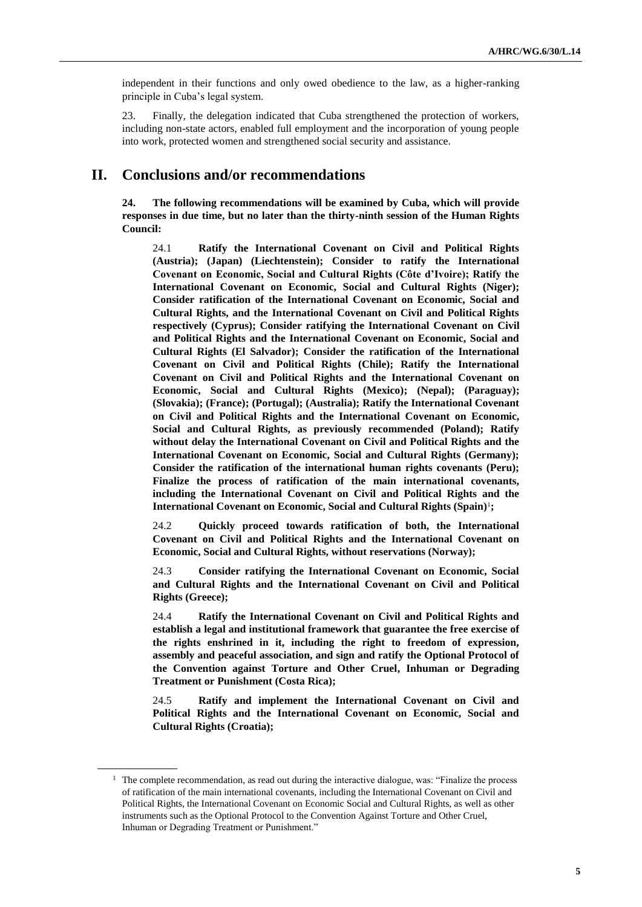independent in their functions and only owed obedience to the law, as a higher-ranking principle in Cuba's legal system.

23. Finally, the delegation indicated that Cuba strengthened the protection of workers, including non-state actors, enabled full employment and the incorporation of young people into work, protected women and strengthened social security and assistance.

## **II. Conclusions and/or recommendations**

**24. The following recommendations will be examined by Cuba, which will provide responses in due time, but no later than the thirty-ninth session of the Human Rights Council:**

24.1 **Ratify the International Covenant on Civil and Political Rights (Austria); (Japan) (Liechtenstein); Consider to ratify the International Covenant on Economic, Social and Cultural Rights (Côte d'Ivoire); Ratify the International Covenant on Economic, Social and Cultural Rights (Niger); Consider ratification of the International Covenant on Economic, Social and Cultural Rights, and the International Covenant on Civil and Political Rights respectively (Cyprus); Consider ratifying the International Covenant on Civil and Political Rights and the International Covenant on Economic, Social and Cultural Rights (El Salvador); Consider the ratification of the International Covenant on Civil and Political Rights (Chile); Ratify the International Covenant on Civil and Political Rights and the International Covenant on Economic, Social and Cultural Rights (Mexico); (Nepal); (Paraguay); (Slovakia); (France); (Portugal); (Australia); Ratify the International Covenant on Civil and Political Rights and the International Covenant on Economic, Social and Cultural Rights, as previously recommended (Poland); Ratify without delay the International Covenant on Civil and Political Rights and the International Covenant on Economic, Social and Cultural Rights (Germany); Consider the ratification of the international human rights covenants (Peru); Finalize the process of ratification of the main international covenants, including the International Covenant on Civil and Political Rights and the International Covenant on Economic, Social and Cultural Rights (Spain)**<sup>1</sup> **;**

24.2 **Quickly proceed towards ratification of both, the International Covenant on Civil and Political Rights and the International Covenant on Economic, Social and Cultural Rights, without reservations (Norway);**

24.3 **Consider ratifying the International Covenant on Economic, Social and Cultural Rights and the International Covenant on Civil and Political Rights (Greece);**

24.4 **Ratify the International Covenant on Civil and Political Rights and establish a legal and institutional framework that guarantee the free exercise of the rights enshrined in it, including the right to freedom of expression, assembly and peaceful association, and sign and ratify the Optional Protocol of the Convention against Torture and Other Cruel, Inhuman or Degrading Treatment or Punishment (Costa Rica);**

24.5 **Ratify and implement the International Covenant on Civil and Political Rights and the International Covenant on Economic, Social and Cultural Rights (Croatia);**

 $<sup>1</sup>$  The complete recommendation, as read out during the interactive dialogue, was: "Finalize the process"</sup> of ratification of the main international covenants, including the International Covenant on Civil and Political Rights, the International Covenant on Economic Social and Cultural Rights, as well as other instruments such as the Optional Protocol to the Convention Against Torture and Other Cruel, Inhuman or Degrading Treatment or Punishment."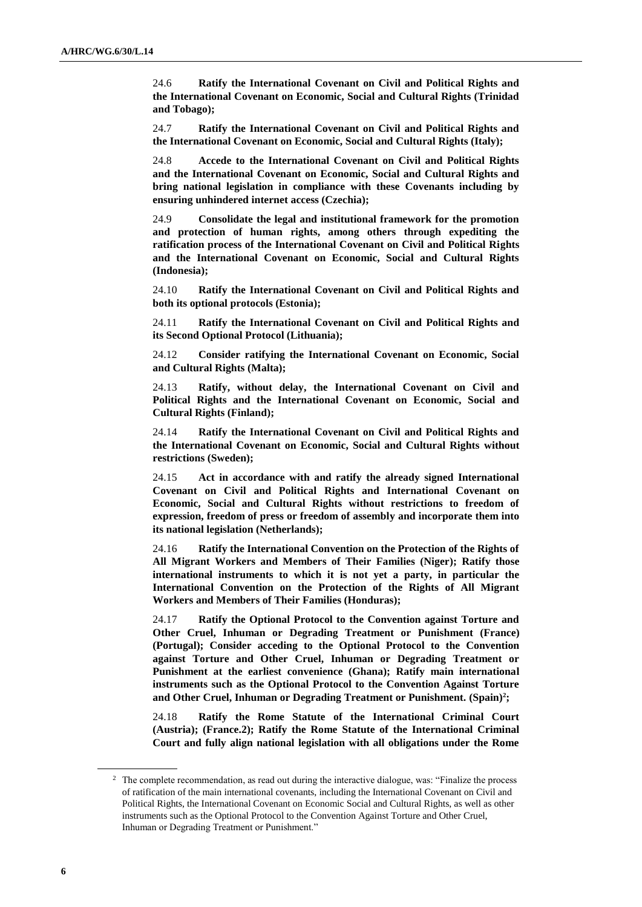24.6 **Ratify the International Covenant on Civil and Political Rights and the International Covenant on Economic, Social and Cultural Rights (Trinidad and Tobago);**

24.7 **Ratify the International Covenant on Civil and Political Rights and the International Covenant on Economic, Social and Cultural Rights (Italy);**

24.8 **Accede to the International Covenant on Civil and Political Rights and the International Covenant on Economic, Social and Cultural Rights and bring national legislation in compliance with these Covenants including by ensuring unhindered internet access (Czechia);**

24.9 **Consolidate the legal and institutional framework for the promotion and protection of human rights, among others through expediting the ratification process of the International Covenant on Civil and Political Rights and the International Covenant on Economic, Social and Cultural Rights (Indonesia);**

24.10 **Ratify the International Covenant on Civil and Political Rights and both its optional protocols (Estonia);**

24.11 **Ratify the International Covenant on Civil and Political Rights and its Second Optional Protocol (Lithuania);**

24.12 **Consider ratifying the International Covenant on Economic, Social and Cultural Rights (Malta);**

24.13 **Ratify, without delay, the International Covenant on Civil and Political Rights and the International Covenant on Economic, Social and Cultural Rights (Finland);**

24.14 **Ratify the International Covenant on Civil and Political Rights and the International Covenant on Economic, Social and Cultural Rights without restrictions (Sweden);**

24.15 **Act in accordance with and ratify the already signed International Covenant on Civil and Political Rights and International Covenant on Economic, Social and Cultural Rights without restrictions to freedom of expression, freedom of press or freedom of assembly and incorporate them into its national legislation (Netherlands);**

24.16 **Ratify the International Convention on the Protection of the Rights of All Migrant Workers and Members of Their Families (Niger); Ratify those international instruments to which it is not yet a party, in particular the International Convention on the Protection of the Rights of All Migrant Workers and Members of Their Families (Honduras);**

24.17 **Ratify the Optional Protocol to the Convention against Torture and Other Cruel, Inhuman or Degrading Treatment or Punishment (France) (Portugal); Consider acceding to the Optional Protocol to the Convention against Torture and Other Cruel, Inhuman or Degrading Treatment or Punishment at the earliest convenience (Ghana); Ratify main international instruments such as the Optional Protocol to the Convention Against Torture and Other Cruel, Inhuman or Degrading Treatment or Punishment. (Spain)<sup>2</sup> ;**

24.18 **Ratify the Rome Statute of the International Criminal Court (Austria); (France.2); Ratify the Rome Statute of the International Criminal Court and fully align national legislation with all obligations under the Rome** 

<sup>&</sup>lt;sup>2</sup> The complete recommendation, as read out during the interactive dialogue, was: "Finalize the process" of ratification of the main international covenants, including the International Covenant on Civil and Political Rights, the International Covenant on Economic Social and Cultural Rights, as well as other instruments such as the Optional Protocol to the Convention Against Torture and Other Cruel, Inhuman or Degrading Treatment or Punishment."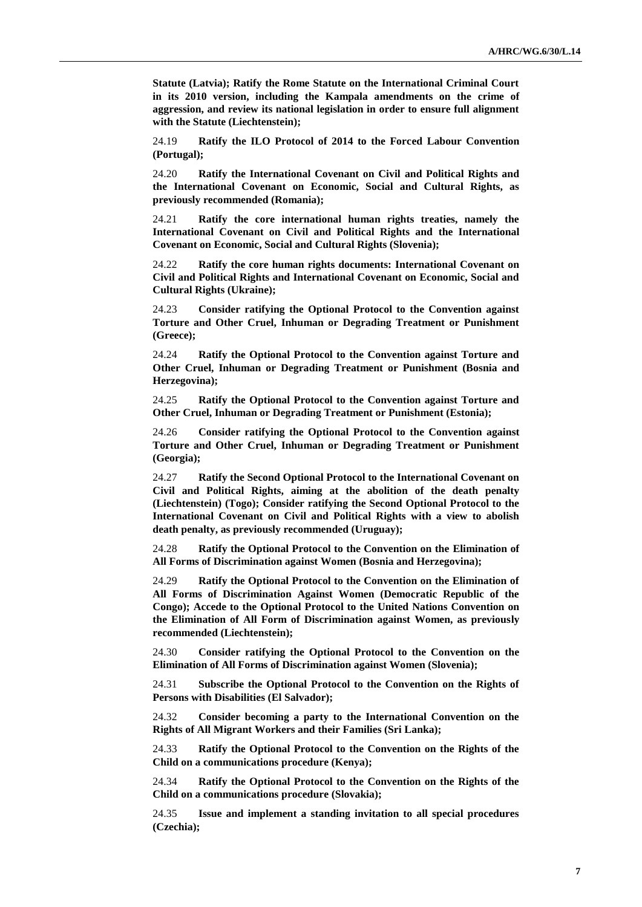**Statute (Latvia); Ratify the Rome Statute on the International Criminal Court in its 2010 version, including the Kampala amendments on the crime of aggression, and review its national legislation in order to ensure full alignment with the Statute (Liechtenstein);**

24.19 **Ratify the ILO Protocol of 2014 to the Forced Labour Convention (Portugal);**

24.20 **Ratify the International Covenant on Civil and Political Rights and the International Covenant on Economic, Social and Cultural Rights, as previously recommended (Romania);**

24.21 **Ratify the core international human rights treaties, namely the International Covenant on Civil and Political Rights and the International Covenant on Economic, Social and Cultural Rights (Slovenia);**

24.22 **Ratify the core human rights documents: International Covenant on Civil and Political Rights and International Covenant on Economic, Social and Cultural Rights (Ukraine);**

24.23 **Consider ratifying the Optional Protocol to the Convention against Torture and Other Cruel, Inhuman or Degrading Treatment or Punishment (Greece);**

24.24 **Ratify the Optional Protocol to the Convention against Torture and Other Cruel, Inhuman or Degrading Treatment or Punishment (Bosnia and Herzegovina);**

24.25 **Ratify the Optional Protocol to the Convention against Torture and Other Cruel, Inhuman or Degrading Treatment or Punishment (Estonia);**

24.26 **Consider ratifying the Optional Protocol to the Convention against Torture and Other Cruel, Inhuman or Degrading Treatment or Punishment (Georgia);**

24.27 **Ratify the Second Optional Protocol to the International Covenant on Civil and Political Rights, aiming at the abolition of the death penalty (Liechtenstein) (Togo); Consider ratifying the Second Optional Protocol to the International Covenant on Civil and Political Rights with a view to abolish death penalty, as previously recommended (Uruguay);**

24.28 **Ratify the Optional Protocol to the Convention on the Elimination of All Forms of Discrimination against Women (Bosnia and Herzegovina);**

24.29 **Ratify the Optional Protocol to the Convention on the Elimination of All Forms of Discrimination Against Women (Democratic Republic of the Congo); Accede to the Optional Protocol to the United Nations Convention on the Elimination of All Form of Discrimination against Women, as previously recommended (Liechtenstein);**

24.30 **Consider ratifying the Optional Protocol to the Convention on the Elimination of All Forms of Discrimination against Women (Slovenia);**

24.31 **Subscribe the Optional Protocol to the Convention on the Rights of Persons with Disabilities (El Salvador);**

24.32 **Consider becoming a party to the International Convention on the Rights of All Migrant Workers and their Families (Sri Lanka);**

24.33 **Ratify the Optional Protocol to the Convention on the Rights of the Child on a communications procedure (Kenya);**

24.34 **Ratify the Optional Protocol to the Convention on the Rights of the Child on a communications procedure (Slovakia);**

24.35 **Issue and implement a standing invitation to all special procedures (Czechia);**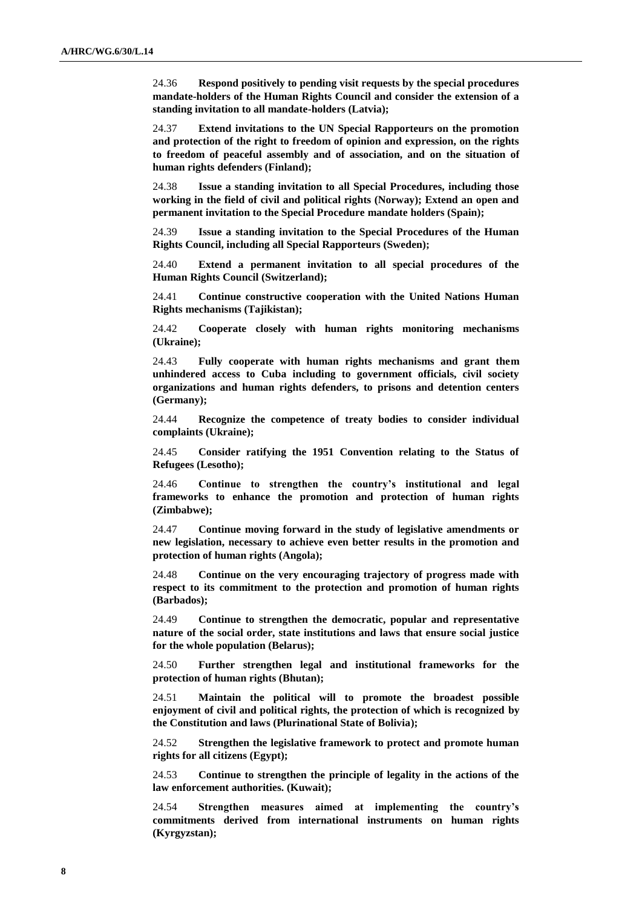24.36 **Respond positively to pending visit requests by the special procedures mandate-holders of the Human Rights Council and consider the extension of a standing invitation to all mandate-holders (Latvia);**

24.37 **Extend invitations to the UN Special Rapporteurs on the promotion and protection of the right to freedom of opinion and expression, on the rights to freedom of peaceful assembly and of association, and on the situation of human rights defenders (Finland);**

24.38 **Issue a standing invitation to all Special Procedures, including those working in the field of civil and political rights (Norway); Extend an open and permanent invitation to the Special Procedure mandate holders (Spain);**

24.39 **Issue a standing invitation to the Special Procedures of the Human Rights Council, including all Special Rapporteurs (Sweden);**

24.40 **Extend a permanent invitation to all special procedures of the Human Rights Council (Switzerland);**

24.41 **Continue constructive cooperation with the United Nations Human Rights mechanisms (Tajikistan);**

24.42 **Cooperate closely with human rights monitoring mechanisms (Ukraine);**

24.43 **Fully cooperate with human rights mechanisms and grant them unhindered access to Cuba including to government officials, civil society organizations and human rights defenders, to prisons and detention centers (Germany);**

24.44 **Recognize the competence of treaty bodies to consider individual complaints (Ukraine);**

24.45 **Consider ratifying the 1951 Convention relating to the Status of Refugees (Lesotho);**

24.46 **Continue to strengthen the country's institutional and legal frameworks to enhance the promotion and protection of human rights (Zimbabwe);**

24.47 **Continue moving forward in the study of legislative amendments or new legislation, necessary to achieve even better results in the promotion and protection of human rights (Angola);**

24.48 **Continue on the very encouraging trajectory of progress made with respect to its commitment to the protection and promotion of human rights (Barbados);**

24.49 **Continue to strengthen the democratic, popular and representative nature of the social order, state institutions and laws that ensure social justice for the whole population (Belarus);**

24.50 **Further strengthen legal and institutional frameworks for the protection of human rights (Bhutan);**

24.51 **Maintain the political will to promote the broadest possible enjoyment of civil and political rights, the protection of which is recognized by the Constitution and laws (Plurinational State of Bolivia);**

24.52 **Strengthen the legislative framework to protect and promote human rights for all citizens (Egypt);**

24.53 **Continue to strengthen the principle of legality in the actions of the law enforcement authorities. (Kuwait);**

24.54 **Strengthen measures aimed at implementing the country's commitments derived from international instruments on human rights (Kyrgyzstan);**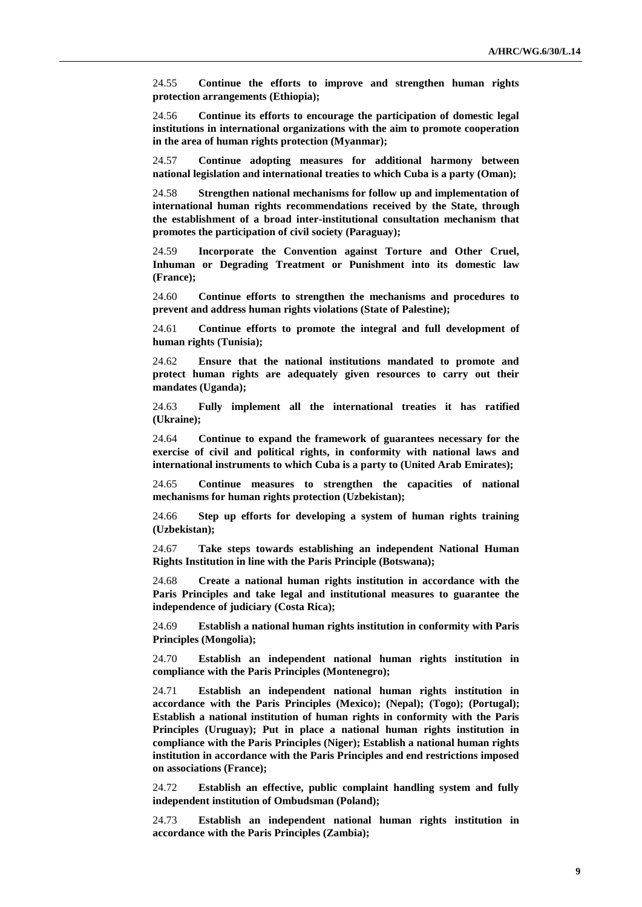24.55 **Continue the efforts to improve and strengthen human rights protection arrangements (Ethiopia);**

24.56 **Continue its efforts to encourage the participation of domestic legal institutions in international organizations with the aim to promote cooperation in the area of human rights protection (Myanmar);**

24.57 **Continue adopting measures for additional harmony between national legislation and international treaties to which Cuba is a party (Oman);**

24.58 **Strengthen national mechanisms for follow up and implementation of international human rights recommendations received by the State, through the establishment of a broad inter-institutional consultation mechanism that promotes the participation of civil society (Paraguay);**

24.59 **Incorporate the Convention against Torture and Other Cruel, Inhuman or Degrading Treatment or Punishment into its domestic law (France);**

24.60 **Continue efforts to strengthen the mechanisms and procedures to prevent and address human rights violations (State of Palestine);**

24.61 **Continue efforts to promote the integral and full development of human rights (Tunisia);**

24.62 **Ensure that the national institutions mandated to promote and protect human rights are adequately given resources to carry out their mandates (Uganda);**

24.63 **Fully implement all the international treaties it has ratified (Ukraine);**

24.64 **Continue to expand the framework of guarantees necessary for the exercise of civil and political rights, in conformity with national laws and international instruments to which Cuba is a party to (United Arab Emirates);**

24.65 **Continue measures to strengthen the capacities of national mechanisms for human rights protection (Uzbekistan);**

24.66 **Step up efforts for developing a system of human rights training (Uzbekistan);**

24.67 **Take steps towards establishing an independent National Human Rights Institution in line with the Paris Principle (Botswana);**

24.68 **Create a national human rights institution in accordance with the Paris Principles and take legal and institutional measures to guarantee the independence of judiciary (Costa Rica);**

24.69 **Establish a national human rights institution in conformity with Paris Principles (Mongolia);**

24.70 **Establish an independent national human rights institution in compliance with the Paris Principles (Montenegro);**

24.71 **Establish an independent national human rights institution in accordance with the Paris Principles (Mexico); (Nepal); (Togo); (Portugal); Establish a national institution of human rights in conformity with the Paris Principles (Uruguay); Put in place a national human rights institution in compliance with the Paris Principles (Niger); Establish a national human rights institution in accordance with the Paris Principles and end restrictions imposed on associations (France);**

24.72 **Establish an effective, public complaint handling system and fully independent institution of Ombudsman (Poland);**

24.73 **Establish an independent national human rights institution in accordance with the Paris Principles (Zambia);**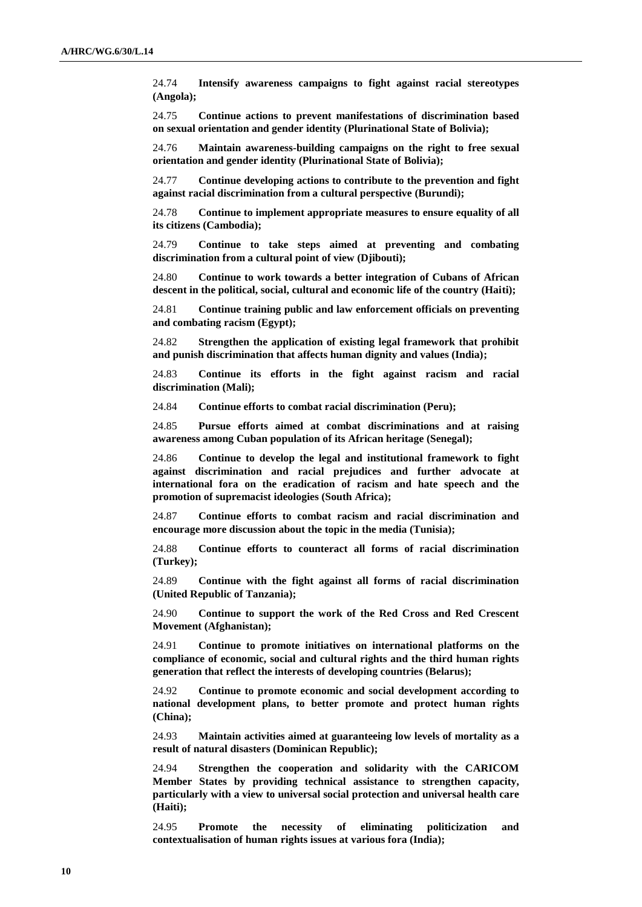24.74 **Intensify awareness campaigns to fight against racial stereotypes (Angola);**

24.75 **Continue actions to prevent manifestations of discrimination based on sexual orientation and gender identity (Plurinational State of Bolivia);**

24.76 **Maintain awareness-building campaigns on the right to free sexual orientation and gender identity (Plurinational State of Bolivia);**

24.77 **Continue developing actions to contribute to the prevention and fight against racial discrimination from a cultural perspective (Burundi);**

24.78 **Continue to implement appropriate measures to ensure equality of all its citizens (Cambodia);**

24.79 **Continue to take steps aimed at preventing and combating discrimination from a cultural point of view (Djibouti);**

24.80 **Continue to work towards a better integration of Cubans of African descent in the political, social, cultural and economic life of the country (Haiti);**

24.81 **Continue training public and law enforcement officials on preventing and combating racism (Egypt);**

24.82 **Strengthen the application of existing legal framework that prohibit and punish discrimination that affects human dignity and values (India);**

24.83 **Continue its efforts in the fight against racism and racial discrimination (Mali);**

24.84 **Continue efforts to combat racial discrimination (Peru);**

24.85 **Pursue efforts aimed at combat discriminations and at raising awareness among Cuban population of its African heritage (Senegal);**

24.86 **Continue to develop the legal and institutional framework to fight against discrimination and racial prejudices and further advocate at international fora on the eradication of racism and hate speech and the promotion of supremacist ideologies (South Africa);**

24.87 **Continue efforts to combat racism and racial discrimination and encourage more discussion about the topic in the media (Tunisia);**

24.88 **Continue efforts to counteract all forms of racial discrimination (Turkey);**

24.89 **Continue with the fight against all forms of racial discrimination (United Republic of Tanzania);**

24.90 **Continue to support the work of the Red Cross and Red Crescent Movement (Afghanistan);**

24.91 **Continue to promote initiatives on international platforms on the compliance of economic, social and cultural rights and the third human rights generation that reflect the interests of developing countries (Belarus);**

24.92 **Continue to promote economic and social development according to national development plans, to better promote and protect human rights (China);**

24.93 **Maintain activities aimed at guaranteeing low levels of mortality as a result of natural disasters (Dominican Republic);**

24.94 **Strengthen the cooperation and solidarity with the CARICOM Member States by providing technical assistance to strengthen capacity, particularly with a view to universal social protection and universal health care (Haiti);**

24.95 **Promote the necessity of eliminating politicization and contextualisation of human rights issues at various fora (India);**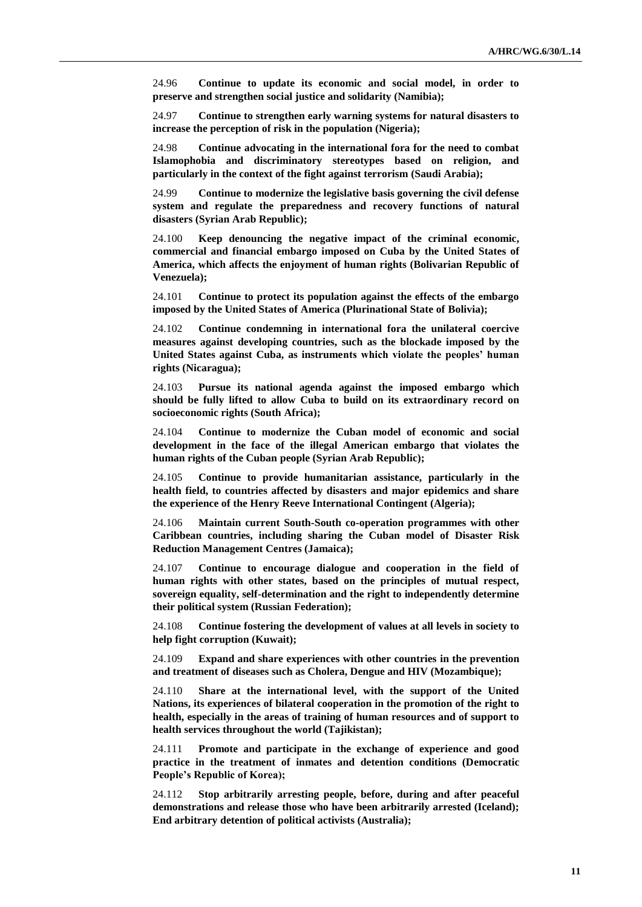24.96 **Continue to update its economic and social model, in order to preserve and strengthen social justice and solidarity (Namibia);**

24.97 **Continue to strengthen early warning systems for natural disasters to increase the perception of risk in the population (Nigeria);**

24.98 **Continue advocating in the international fora for the need to combat Islamophobia and discriminatory stereotypes based on religion, and particularly in the context of the fight against terrorism (Saudi Arabia);**

24.99 **Continue to modernize the legislative basis governing the civil defense system and regulate the preparedness and recovery functions of natural disasters (Syrian Arab Republic);**

24.100 **Keep denouncing the negative impact of the criminal economic, commercial and financial embargo imposed on Cuba by the United States of America, which affects the enjoyment of human rights (Bolivarian Republic of Venezuela);**

24.101 **Continue to protect its population against the effects of the embargo imposed by the United States of America (Plurinational State of Bolivia);**

24.102 **Continue condemning in international fora the unilateral coercive measures against developing countries, such as the blockade imposed by the United States against Cuba, as instruments which violate the peoples' human rights (Nicaragua);**

24.103 **Pursue its national agenda against the imposed embargo which should be fully lifted to allow Cuba to build on its extraordinary record on socioeconomic rights (South Africa);**

24.104 **Continue to modernize the Cuban model of economic and social development in the face of the illegal American embargo that violates the human rights of the Cuban people (Syrian Arab Republic);**

24.105 **Continue to provide humanitarian assistance, particularly in the health field, to countries affected by disasters and major epidemics and share the experience of the Henry Reeve International Contingent (Algeria);**

24.106 **Maintain current South-South co-operation programmes with other Caribbean countries, including sharing the Cuban model of Disaster Risk Reduction Management Centres (Jamaica);**

24.107 **Continue to encourage dialogue and cooperation in the field of human rights with other states, based on the principles of mutual respect, sovereign equality, self-determination and the right to independently determine their political system (Russian Federation);**

24.108 **Continue fostering the development of values at all levels in society to help fight corruption (Kuwait);**

24.109 **Expand and share experiences with other countries in the prevention and treatment of diseases such as Cholera, Dengue and HIV (Mozambique);**

24.110 **Share at the international level, with the support of the United Nations, its experiences of bilateral cooperation in the promotion of the right to health, especially in the areas of training of human resources and of support to health services throughout the world (Tajikistan);**

24.111 **Promote and participate in the exchange of experience and good practice in the treatment of inmates and detention conditions (Democratic People's Republic of Korea);**

24.112 **Stop arbitrarily arresting people, before, during and after peaceful demonstrations and release those who have been arbitrarily arrested (Iceland); End arbitrary detention of political activists (Australia);**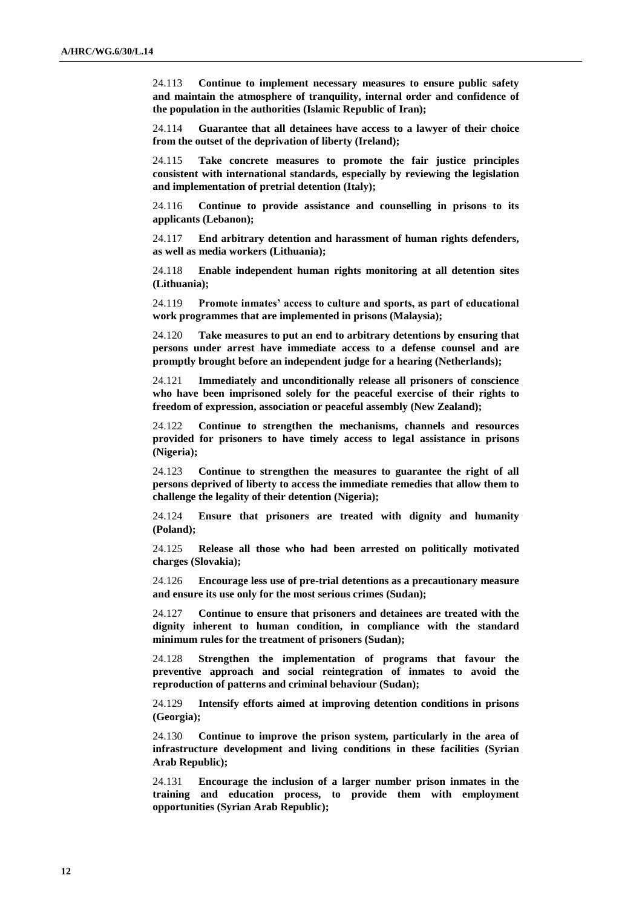24.113 **Continue to implement necessary measures to ensure public safety and maintain the atmosphere of tranquility, internal order and confidence of the population in the authorities (Islamic Republic of Iran);**

24.114 **Guarantee that all detainees have access to a lawyer of their choice from the outset of the deprivation of liberty (Ireland);**

24.115 **Take concrete measures to promote the fair justice principles consistent with international standards, especially by reviewing the legislation and implementation of pretrial detention (Italy);**

24.116 **Continue to provide assistance and counselling in prisons to its applicants (Lebanon);**

24.117 **End arbitrary detention and harassment of human rights defenders, as well as media workers (Lithuania);**

24.118 **Enable independent human rights monitoring at all detention sites (Lithuania);**

24.119 **Promote inmates' access to culture and sports, as part of educational work programmes that are implemented in prisons (Malaysia);**

24.120 **Take measures to put an end to arbitrary detentions by ensuring that persons under arrest have immediate access to a defense counsel and are promptly brought before an independent judge for a hearing (Netherlands);**

Immediately and unconditionally release all prisoners of conscience **who have been imprisoned solely for the peaceful exercise of their rights to freedom of expression, association or peaceful assembly (New Zealand);**

24.122 **Continue to strengthen the mechanisms, channels and resources provided for prisoners to have timely access to legal assistance in prisons (Nigeria);**

24.123 **Continue to strengthen the measures to guarantee the right of all persons deprived of liberty to access the immediate remedies that allow them to challenge the legality of their detention (Nigeria);**

24.124 **Ensure that prisoners are treated with dignity and humanity (Poland);**

24.125 **Release all those who had been arrested on politically motivated charges (Slovakia);**

24.126 **Encourage less use of pre-trial detentions as a precautionary measure and ensure its use only for the most serious crimes (Sudan);**

24.127 **Continue to ensure that prisoners and detainees are treated with the dignity inherent to human condition, in compliance with the standard minimum rules for the treatment of prisoners (Sudan);**

24.128 **Strengthen the implementation of programs that favour the preventive approach and social reintegration of inmates to avoid the reproduction of patterns and criminal behaviour (Sudan);**

24.129 **Intensify efforts aimed at improving detention conditions in prisons (Georgia);**

24.130 **Continue to improve the prison system, particularly in the area of infrastructure development and living conditions in these facilities (Syrian Arab Republic);**

24.131 **Encourage the inclusion of a larger number prison inmates in the training and education process, to provide them with employment opportunities (Syrian Arab Republic);**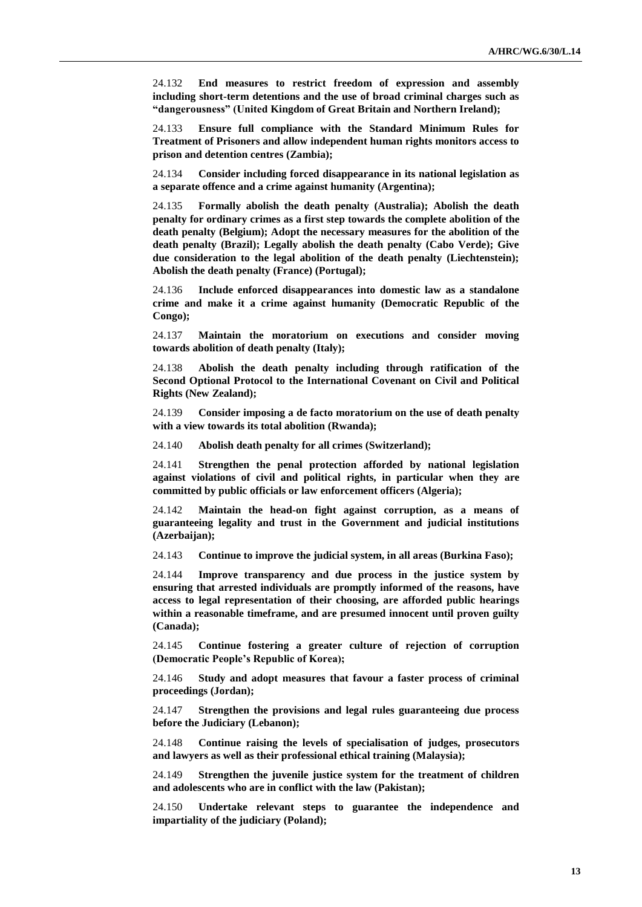24.132 **End measures to restrict freedom of expression and assembly including short-term detentions and the use of broad criminal charges such as "dangerousness" (United Kingdom of Great Britain and Northern Ireland);**

24.133 **Ensure full compliance with the Standard Minimum Rules for Treatment of Prisoners and allow independent human rights monitors access to prison and detention centres (Zambia);**

24.134 **Consider including forced disappearance in its national legislation as a separate offence and a crime against humanity (Argentina);**

24.135 **Formally abolish the death penalty (Australia); Abolish the death penalty for ordinary crimes as a first step towards the complete abolition of the death penalty (Belgium); Adopt the necessary measures for the abolition of the death penalty (Brazil); Legally abolish the death penalty (Cabo Verde); Give due consideration to the legal abolition of the death penalty (Liechtenstein); Abolish the death penalty (France) (Portugal);**

24.136 **Include enforced disappearances into domestic law as a standalone crime and make it a crime against humanity (Democratic Republic of the Congo);**

24.137 **Maintain the moratorium on executions and consider moving towards abolition of death penalty (Italy);**

24.138 **Abolish the death penalty including through ratification of the Second Optional Protocol to the International Covenant on Civil and Political Rights (New Zealand);**

24.139 **Consider imposing a de facto moratorium on the use of death penalty with a view towards its total abolition (Rwanda);**

24.140 **Abolish death penalty for all crimes (Switzerland);**

24.141 **Strengthen the penal protection afforded by national legislation against violations of civil and political rights, in particular when they are committed by public officials or law enforcement officers (Algeria);**

24.142 **Maintain the head-on fight against corruption, as a means of guaranteeing legality and trust in the Government and judicial institutions (Azerbaijan);**

24.143 **Continue to improve the judicial system, in all areas (Burkina Faso);**

24.144 **Improve transparency and due process in the justice system by ensuring that arrested individuals are promptly informed of the reasons, have access to legal representation of their choosing, are afforded public hearings within a reasonable timeframe, and are presumed innocent until proven guilty (Canada);**

24.145 **Continue fostering a greater culture of rejection of corruption (Democratic People's Republic of Korea);**

24.146 **Study and adopt measures that favour a faster process of criminal proceedings (Jordan);**

24.147 **Strengthen the provisions and legal rules guaranteeing due process before the Judiciary (Lebanon);**

24.148 **Continue raising the levels of specialisation of judges, prosecutors and lawyers as well as their professional ethical training (Malaysia);**

24.149 **Strengthen the juvenile justice system for the treatment of children and adolescents who are in conflict with the law (Pakistan);**

24.150 **Undertake relevant steps to guarantee the independence and impartiality of the judiciary (Poland);**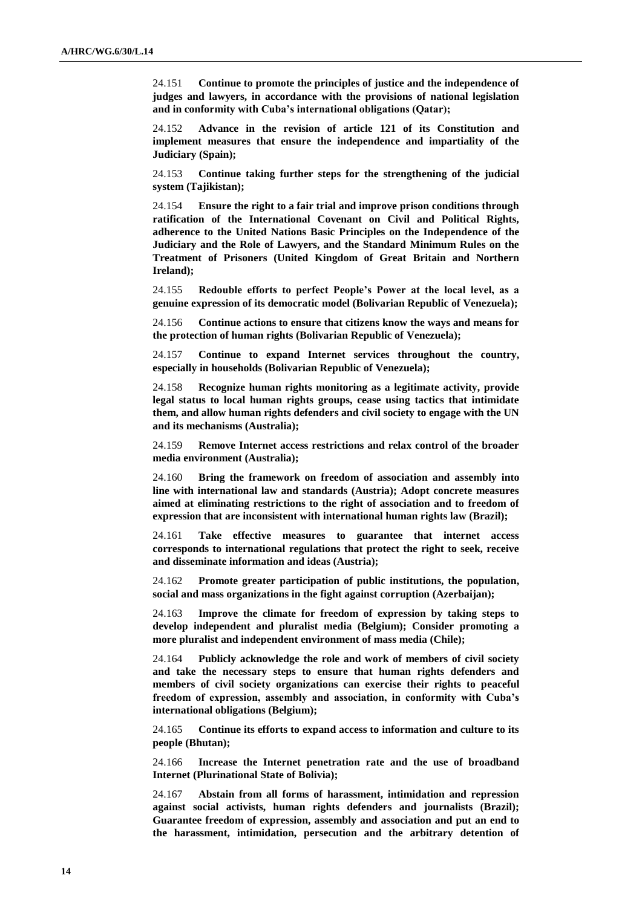24.151 **Continue to promote the principles of justice and the independence of judges and lawyers, in accordance with the provisions of national legislation and in conformity with Cuba's international obligations (Qatar);**

24.152 **Advance in the revision of article 121 of its Constitution and implement measures that ensure the independence and impartiality of the Judiciary (Spain);**

24.153 **Continue taking further steps for the strengthening of the judicial system (Tajikistan);**

24.154 **Ensure the right to a fair trial and improve prison conditions through ratification of the International Covenant on Civil and Political Rights, adherence to the United Nations Basic Principles on the Independence of the Judiciary and the Role of Lawyers, and the Standard Minimum Rules on the Treatment of Prisoners (United Kingdom of Great Britain and Northern Ireland);**

24.155 **Redouble efforts to perfect People's Power at the local level, as a genuine expression of its democratic model (Bolivarian Republic of Venezuela);**

24.156 **Continue actions to ensure that citizens know the ways and means for the protection of human rights (Bolivarian Republic of Venezuela);**

24.157 **Continue to expand Internet services throughout the country, especially in households (Bolivarian Republic of Venezuela);**

24.158 **Recognize human rights monitoring as a legitimate activity, provide legal status to local human rights groups, cease using tactics that intimidate them, and allow human rights defenders and civil society to engage with the UN and its mechanisms (Australia);**

24.159 **Remove Internet access restrictions and relax control of the broader media environment (Australia);**

24.160 **Bring the framework on freedom of association and assembly into line with international law and standards (Austria); Adopt concrete measures aimed at eliminating restrictions to the right of association and to freedom of expression that are inconsistent with international human rights law (Brazil);** 

24.161 **Take effective measures to guarantee that internet access corresponds to international regulations that protect the right to seek, receive and disseminate information and ideas (Austria);**

24.162 **Promote greater participation of public institutions, the population, social and mass organizations in the fight against corruption (Azerbaijan);**

24.163 **Improve the climate for freedom of expression by taking steps to develop independent and pluralist media (Belgium); Consider promoting a more pluralist and independent environment of mass media (Chile);**

24.164 **Publicly acknowledge the role and work of members of civil society and take the necessary steps to ensure that human rights defenders and members of civil society organizations can exercise their rights to peaceful freedom of expression, assembly and association, in conformity with Cuba's international obligations (Belgium);**

24.165 **Continue its efforts to expand access to information and culture to its people (Bhutan);**

24.166 **Increase the Internet penetration rate and the use of broadband Internet (Plurinational State of Bolivia);**

24.167 **Abstain from all forms of harassment, intimidation and repression against social activists, human rights defenders and journalists (Brazil); Guarantee freedom of expression, assembly and association and put an end to the harassment, intimidation, persecution and the arbitrary detention of**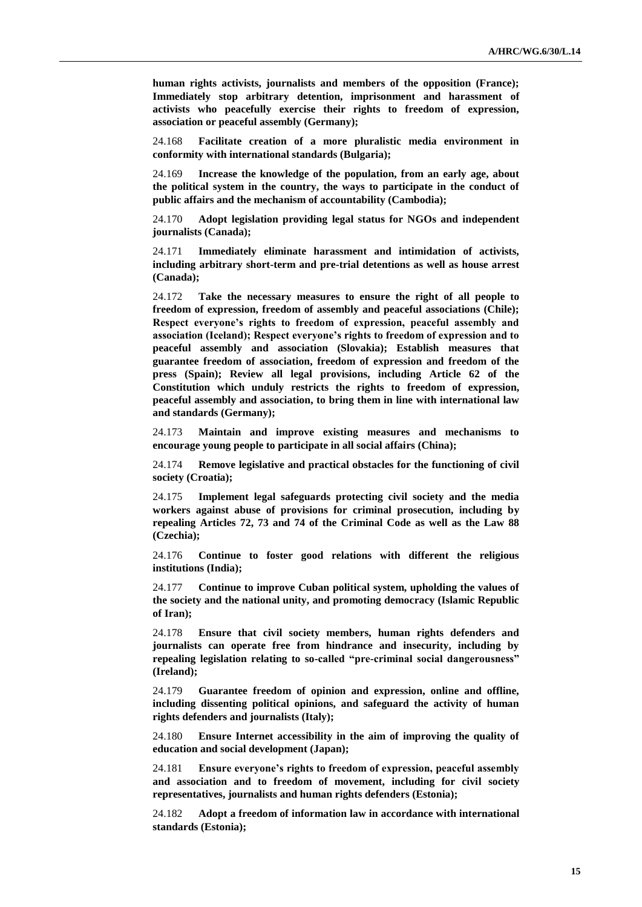**human rights activists, journalists and members of the opposition (France); Immediately stop arbitrary detention, imprisonment and harassment of activists who peacefully exercise their rights to freedom of expression, association or peaceful assembly (Germany);**

24.168 **Facilitate creation of a more pluralistic media environment in conformity with international standards (Bulgaria);**

24.169 **Increase the knowledge of the population, from an early age, about the political system in the country, the ways to participate in the conduct of public affairs and the mechanism of accountability (Cambodia);**

24.170 **Adopt legislation providing legal status for NGOs and independent journalists (Canada);**

24.171 **Immediately eliminate harassment and intimidation of activists, including arbitrary short-term and pre-trial detentions as well as house arrest (Canada);**

24.172 **Take the necessary measures to ensure the right of all people to freedom of expression, freedom of assembly and peaceful associations (Chile); Respect everyone's rights to freedom of expression, peaceful assembly and association (Iceland); Respect everyone's rights to freedom of expression and to peaceful assembly and association (Slovakia); Establish measures that guarantee freedom of association, freedom of expression and freedom of the press (Spain); Review all legal provisions, including Article 62 of the Constitution which unduly restricts the rights to freedom of expression, peaceful assembly and association, to bring them in line with international law and standards (Germany);**

24.173 **Maintain and improve existing measures and mechanisms to encourage young people to participate in all social affairs (China);**

24.174 **Remove legislative and practical obstacles for the functioning of civil society (Croatia);**

24.175 **Implement legal safeguards protecting civil society and the media workers against abuse of provisions for criminal prosecution, including by repealing Articles 72, 73 and 74 of the Criminal Code as well as the Law 88 (Czechia);**

24.176 **Continue to foster good relations with different the religious institutions (India);**

24.177 **Continue to improve Cuban political system, upholding the values of the society and the national unity, and promoting democracy (Islamic Republic of Iran);**

24.178 **Ensure that civil society members, human rights defenders and journalists can operate free from hindrance and insecurity, including by repealing legislation relating to so-called "pre-criminal social dangerousness" (Ireland);**

24.179 **Guarantee freedom of opinion and expression, online and offline, including dissenting political opinions, and safeguard the activity of human rights defenders and journalists (Italy);**

24.180 **Ensure Internet accessibility in the aim of improving the quality of education and social development (Japan);**

24.181 **Ensure everyone's rights to freedom of expression, peaceful assembly and association and to freedom of movement, including for civil society representatives, journalists and human rights defenders (Estonia);**

24.182 **Adopt a freedom of information law in accordance with international standards (Estonia);**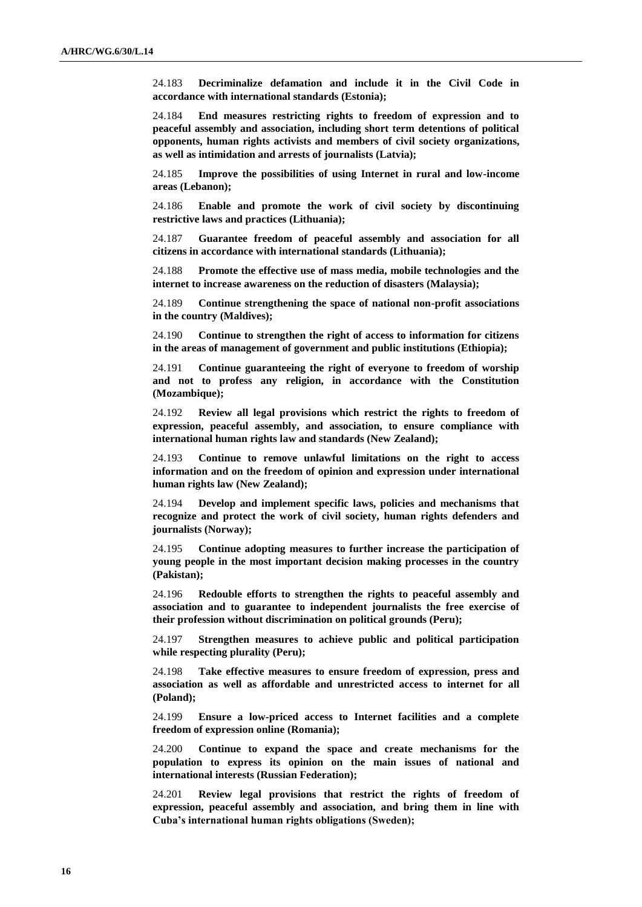24.183 **Decriminalize defamation and include it in the Civil Code in accordance with international standards (Estonia);**

24.184 **End measures restricting rights to freedom of expression and to peaceful assembly and association, including short term detentions of political opponents, human rights activists and members of civil society organizations, as well as intimidation and arrests of journalists (Latvia);**

24.185 **Improve the possibilities of using Internet in rural and low-income areas (Lebanon);**

24.186 **Enable and promote the work of civil society by discontinuing restrictive laws and practices (Lithuania);**

24.187 **Guarantee freedom of peaceful assembly and association for all citizens in accordance with international standards (Lithuania);**

24.188 **Promote the effective use of mass media, mobile technologies and the internet to increase awareness on the reduction of disasters (Malaysia);**

24.189 **Continue strengthening the space of national non-profit associations in the country (Maldives);**

24.190 **Continue to strengthen the right of access to information for citizens in the areas of management of government and public institutions (Ethiopia);**

24.191 **Continue guaranteeing the right of everyone to freedom of worship and not to profess any religion, in accordance with the Constitution (Mozambique);**

24.192 **Review all legal provisions which restrict the rights to freedom of expression, peaceful assembly, and association, to ensure compliance with international human rights law and standards (New Zealand);**

24.193 **Continue to remove unlawful limitations on the right to access information and on the freedom of opinion and expression under international human rights law (New Zealand);**

24.194 **Develop and implement specific laws, policies and mechanisms that recognize and protect the work of civil society, human rights defenders and journalists (Norway);**

24.195 **Continue adopting measures to further increase the participation of young people in the most important decision making processes in the country (Pakistan);**

24.196 **Redouble efforts to strengthen the rights to peaceful assembly and association and to guarantee to independent journalists the free exercise of their profession without discrimination on political grounds (Peru);**

24.197 **Strengthen measures to achieve public and political participation while respecting plurality (Peru);**

24.198 **Take effective measures to ensure freedom of expression, press and association as well as affordable and unrestricted access to internet for all (Poland);**

24.199 **Ensure a low-priced access to Internet facilities and a complete freedom of expression online (Romania);**

24.200 **Continue to expand the space and create mechanisms for the population to express its opinion on the main issues of national and international interests (Russian Federation);**

24.201 **Review legal provisions that restrict the rights of freedom of expression, peaceful assembly and association, and bring them in line with Cuba's international human rights obligations (Sweden);**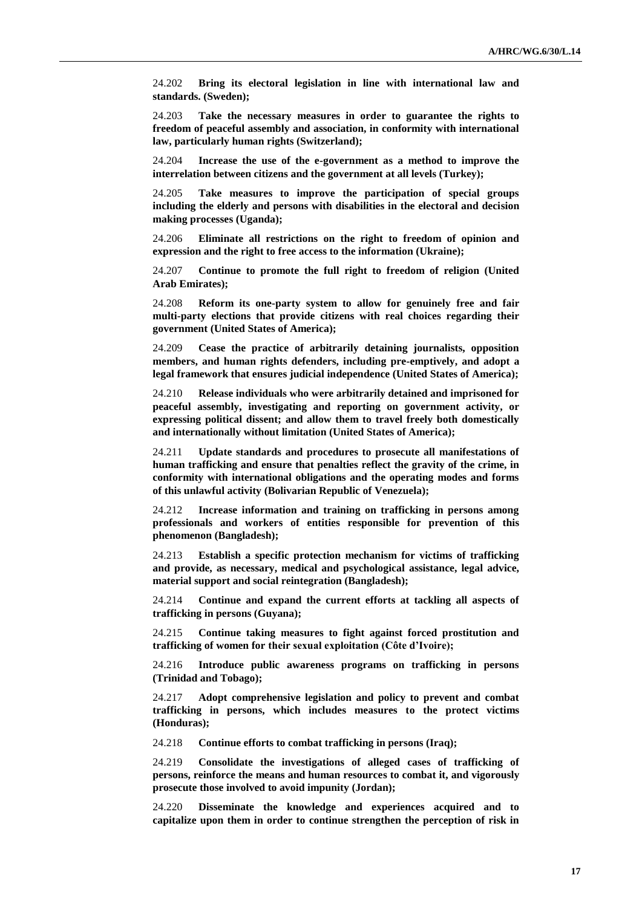24.202 **Bring its electoral legislation in line with international law and standards. (Sweden);**

24.203 **Take the necessary measures in order to guarantee the rights to freedom of peaceful assembly and association, in conformity with international law, particularly human rights (Switzerland);**

24.204 **Increase the use of the e-government as a method to improve the interrelation between citizens and the government at all levels (Turkey);**

24.205 **Take measures to improve the participation of special groups including the elderly and persons with disabilities in the electoral and decision making processes (Uganda);**

24.206 **Eliminate all restrictions on the right to freedom of opinion and expression and the right to free access to the information (Ukraine);**

24.207 **Continue to promote the full right to freedom of religion (United Arab Emirates);**

24.208 **Reform its one-party system to allow for genuinely free and fair multi-party elections that provide citizens with real choices regarding their government (United States of America);**

24.209 **Cease the practice of arbitrarily detaining journalists, opposition members, and human rights defenders, including pre-emptively, and adopt a legal framework that ensures judicial independence (United States of America);**

24.210 **Release individuals who were arbitrarily detained and imprisoned for peaceful assembly, investigating and reporting on government activity, or expressing political dissent; and allow them to travel freely both domestically and internationally without limitation (United States of America);**

24.211 **Update standards and procedures to prosecute all manifestations of human trafficking and ensure that penalties reflect the gravity of the crime, in conformity with international obligations and the operating modes and forms of this unlawful activity (Bolivarian Republic of Venezuela);**

24.212 **Increase information and training on trafficking in persons among professionals and workers of entities responsible for prevention of this phenomenon (Bangladesh);**

24.213 **Establish a specific protection mechanism for victims of trafficking and provide, as necessary, medical and psychological assistance, legal advice, material support and social reintegration (Bangladesh);**

24.214 **Continue and expand the current efforts at tackling all aspects of trafficking in persons (Guyana);**

24.215 **Continue taking measures to fight against forced prostitution and trafficking of women for their sexual exploitation (Côte d'Ivoire);**

24.216 **Introduce public awareness programs on trafficking in persons (Trinidad and Tobago);**

24.217 **Adopt comprehensive legislation and policy to prevent and combat trafficking in persons, which includes measures to the protect victims (Honduras);**

24.218 **Continue efforts to combat trafficking in persons (Iraq);**

24.219 **Consolidate the investigations of alleged cases of trafficking of persons, reinforce the means and human resources to combat it, and vigorously prosecute those involved to avoid impunity (Jordan);**

24.220 **Disseminate the knowledge and experiences acquired and to capitalize upon them in order to continue strengthen the perception of risk in**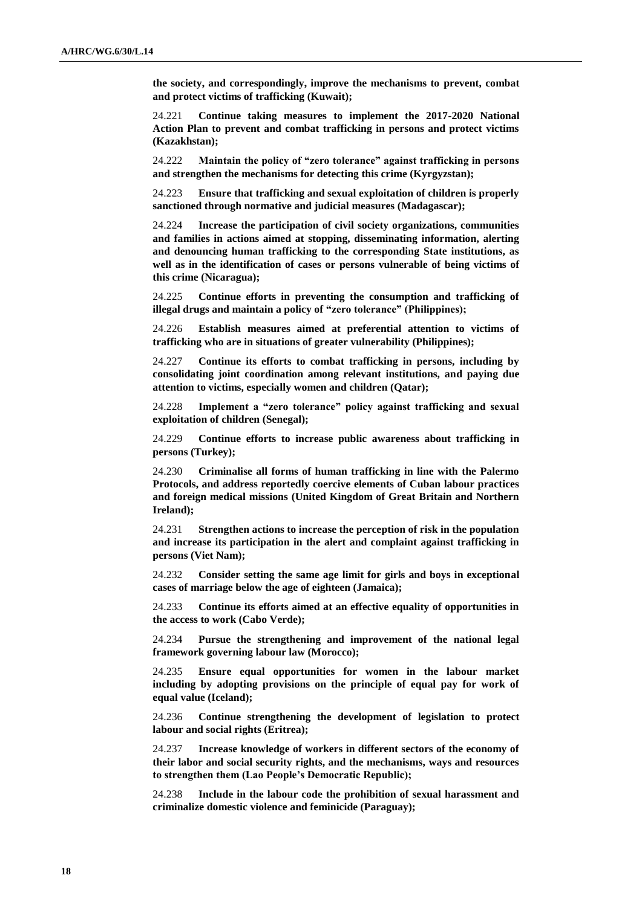**the society, and correspondingly, improve the mechanisms to prevent, combat and protect victims of trafficking (Kuwait);**

24.221 **Continue taking measures to implement the 2017-2020 National Action Plan to prevent and combat trafficking in persons and protect victims (Kazakhstan);**

24.222 **Maintain the policy of "zero tolerance" against trafficking in persons and strengthen the mechanisms for detecting this crime (Kyrgyzstan);**

24.223 **Ensure that trafficking and sexual exploitation of children is properly sanctioned through normative and judicial measures (Madagascar);**

24.224 **Increase the participation of civil society organizations, communities and families in actions aimed at stopping, disseminating information, alerting and denouncing human trafficking to the corresponding State institutions, as well as in the identification of cases or persons vulnerable of being victims of this crime (Nicaragua);**

24.225 **Continue efforts in preventing the consumption and trafficking of illegal drugs and maintain a policy of "zero tolerance" (Philippines);**

24.226 **Establish measures aimed at preferential attention to victims of trafficking who are in situations of greater vulnerability (Philippines);**

24.227 **Continue its efforts to combat trafficking in persons, including by consolidating joint coordination among relevant institutions, and paying due attention to victims, especially women and children (Qatar);**

24.228 **Implement a "zero tolerance" policy against trafficking and sexual exploitation of children (Senegal);**

24.229 **Continue efforts to increase public awareness about trafficking in persons (Turkey);**

24.230 **Criminalise all forms of human trafficking in line with the Palermo Protocols, and address reportedly coercive elements of Cuban labour practices and foreign medical missions (United Kingdom of Great Britain and Northern Ireland);**

24.231 **Strengthen actions to increase the perception of risk in the population and increase its participation in the alert and complaint against trafficking in persons (Viet Nam);**

24.232 **Consider setting the same age limit for girls and boys in exceptional cases of marriage below the age of eighteen (Jamaica);**

24.233 **Continue its efforts aimed at an effective equality of opportunities in the access to work (Cabo Verde);**

24.234 **Pursue the strengthening and improvement of the national legal framework governing labour law (Morocco);**

24.235 **Ensure equal opportunities for women in the labour market including by adopting provisions on the principle of equal pay for work of equal value (Iceland);**

24.236 **Continue strengthening the development of legislation to protect labour and social rights (Eritrea);**

24.237 **Increase knowledge of workers in different sectors of the economy of their labor and social security rights, and the mechanisms, ways and resources to strengthen them (Lao People's Democratic Republic);**

24.238 **Include in the labour code the prohibition of sexual harassment and criminalize domestic violence and feminicide (Paraguay);**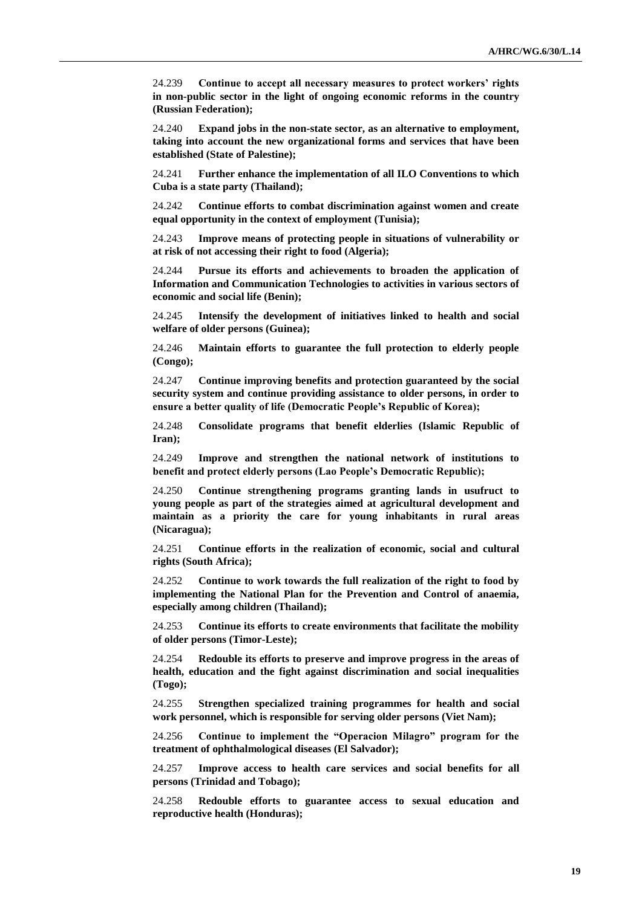24.239 **Continue to accept all necessary measures to protect workers' rights in non-public sector in the light of ongoing economic reforms in the country (Russian Federation);**

24.240 **Expand jobs in the non-state sector, as an alternative to employment, taking into account the new organizational forms and services that have been established (State of Palestine);**

24.241 **Further enhance the implementation of all ILO Conventions to which Cuba is a state party (Thailand);**

24.242 **Continue efforts to combat discrimination against women and create equal opportunity in the context of employment (Tunisia);**

24.243 **Improve means of protecting people in situations of vulnerability or at risk of not accessing their right to food (Algeria);**

24.244 **Pursue its efforts and achievements to broaden the application of Information and Communication Technologies to activities in various sectors of economic and social life (Benin);**

24.245 **Intensify the development of initiatives linked to health and social welfare of older persons (Guinea);**

24.246 **Maintain efforts to guarantee the full protection to elderly people (Congo);**

24.247 **Continue improving benefits and protection guaranteed by the social security system and continue providing assistance to older persons, in order to ensure a better quality of life (Democratic People's Republic of Korea);**

24.248 **Consolidate programs that benefit elderlies (Islamic Republic of Iran);**

24.249 **Improve and strengthen the national network of institutions to benefit and protect elderly persons (Lao People's Democratic Republic);**

24.250 **Continue strengthening programs granting lands in usufruct to young people as part of the strategies aimed at agricultural development and maintain as a priority the care for young inhabitants in rural areas (Nicaragua);**

24.251 **Continue efforts in the realization of economic, social and cultural rights (South Africa);**

24.252 **Continue to work towards the full realization of the right to food by implementing the National Plan for the Prevention and Control of anaemia, especially among children (Thailand);**

24.253 **Continue its efforts to create environments that facilitate the mobility of older persons (Timor-Leste);**

24.254 **Redouble its efforts to preserve and improve progress in the areas of health, education and the fight against discrimination and social inequalities (Togo);**

24.255 **Strengthen specialized training programmes for health and social work personnel, which is responsible for serving older persons (Viet Nam);**

24.256 **Continue to implement the "Operacion Milagro" program for the treatment of ophthalmological diseases (El Salvador);**

24.257 **Improve access to health care services and social benefits for all persons (Trinidad and Tobago);**

24.258 **Redouble efforts to guarantee access to sexual education and reproductive health (Honduras);**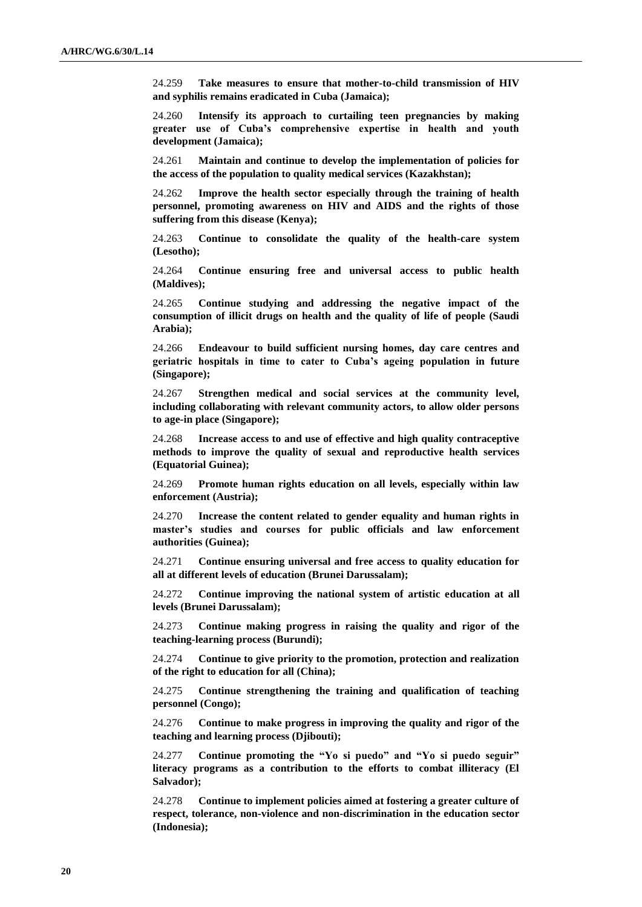24.259 **Take measures to ensure that mother-to-child transmission of HIV and syphilis remains eradicated in Cuba (Jamaica);**

24.260 **Intensify its approach to curtailing teen pregnancies by making greater use of Cuba's comprehensive expertise in health and youth development (Jamaica);**

24.261 **Maintain and continue to develop the implementation of policies for the access of the population to quality medical services (Kazakhstan);**

24.262 **Improve the health sector especially through the training of health personnel, promoting awareness on HIV and AIDS and the rights of those suffering from this disease (Kenya);**

24.263 **Continue to consolidate the quality of the health-care system (Lesotho);**

24.264 **Continue ensuring free and universal access to public health (Maldives);**

24.265 **Continue studying and addressing the negative impact of the consumption of illicit drugs on health and the quality of life of people (Saudi Arabia);**

24.266 **Endeavour to build sufficient nursing homes, day care centres and geriatric hospitals in time to cater to Cuba's ageing population in future (Singapore);**

24.267 **Strengthen medical and social services at the community level, including collaborating with relevant community actors, to allow older persons to age-in place (Singapore);**

24.268 **Increase access to and use of effective and high quality contraceptive methods to improve the quality of sexual and reproductive health services (Equatorial Guinea);**

24.269 **Promote human rights education on all levels, especially within law enforcement (Austria);**

24.270 **Increase the content related to gender equality and human rights in master's studies and courses for public officials and law enforcement authorities (Guinea);**

24.271 **Continue ensuring universal and free access to quality education for all at different levels of education (Brunei Darussalam);**

24.272 **Continue improving the national system of artistic education at all levels (Brunei Darussalam);**

24.273 **Continue making progress in raising the quality and rigor of the teaching-learning process (Burundi);**

24.274 **Continue to give priority to the promotion, protection and realization of the right to education for all (China);**

24.275 **Continue strengthening the training and qualification of teaching personnel (Congo);**

24.276 **Continue to make progress in improving the quality and rigor of the teaching and learning process (Djibouti);**

24.277 **Continue promoting the "Yo si puedo" and "Yo si puedo seguir" literacy programs as a contribution to the efforts to combat illiteracy (El Salvador);**

24.278 **Continue to implement policies aimed at fostering a greater culture of respect, tolerance, non-violence and non-discrimination in the education sector (Indonesia);**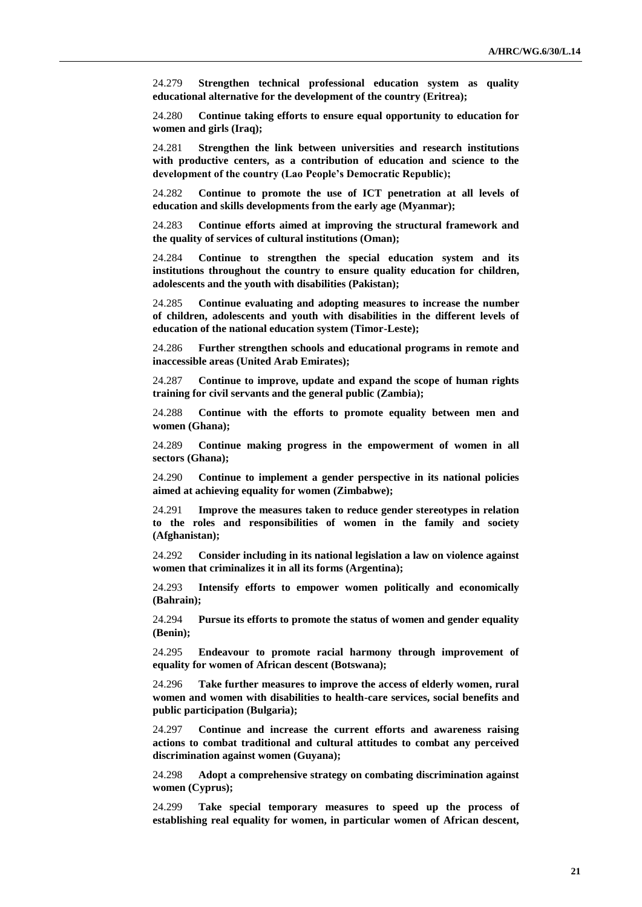24.279 **Strengthen technical professional education system as quality educational alternative for the development of the country (Eritrea);**

24.280 **Continue taking efforts to ensure equal opportunity to education for women and girls (Iraq);**

24.281 **Strengthen the link between universities and research institutions with productive centers, as a contribution of education and science to the development of the country (Lao People's Democratic Republic);**

24.282 **Continue to promote the use of ICT penetration at all levels of education and skills developments from the early age (Myanmar);**

24.283 **Continue efforts aimed at improving the structural framework and the quality of services of cultural institutions (Oman);**

24.284 **Continue to strengthen the special education system and its institutions throughout the country to ensure quality education for children, adolescents and the youth with disabilities (Pakistan);**

24.285 **Continue evaluating and adopting measures to increase the number of children, adolescents and youth with disabilities in the different levels of education of the national education system (Timor-Leste);**

24.286 **Further strengthen schools and educational programs in remote and inaccessible areas (United Arab Emirates);**

24.287 **Continue to improve, update and expand the scope of human rights training for civil servants and the general public (Zambia);**

24.288 **Continue with the efforts to promote equality between men and women (Ghana);**

24.289 **Continue making progress in the empowerment of women in all sectors (Ghana);**

24.290 **Continue to implement a gender perspective in its national policies aimed at achieving equality for women (Zimbabwe);**

24.291 **Improve the measures taken to reduce gender stereotypes in relation to the roles and responsibilities of women in the family and society (Afghanistan);**

24.292 **Consider including in its national legislation a law on violence against women that criminalizes it in all its forms (Argentina);**

24.293 **Intensify efforts to empower women politically and economically (Bahrain);**

24.294 **Pursue its efforts to promote the status of women and gender equality (Benin);**

24.295 **Endeavour to promote racial harmony through improvement of equality for women of African descent (Botswana);**

24.296 **Take further measures to improve the access of elderly women, rural women and women with disabilities to health-care services, social benefits and public participation (Bulgaria);**

24.297 **Continue and increase the current efforts and awareness raising actions to combat traditional and cultural attitudes to combat any perceived discrimination against women (Guyana);**

24.298 **Adopt a comprehensive strategy on combating discrimination against women (Cyprus);**

24.299 **Take special temporary measures to speed up the process of establishing real equality for women, in particular women of African descent,**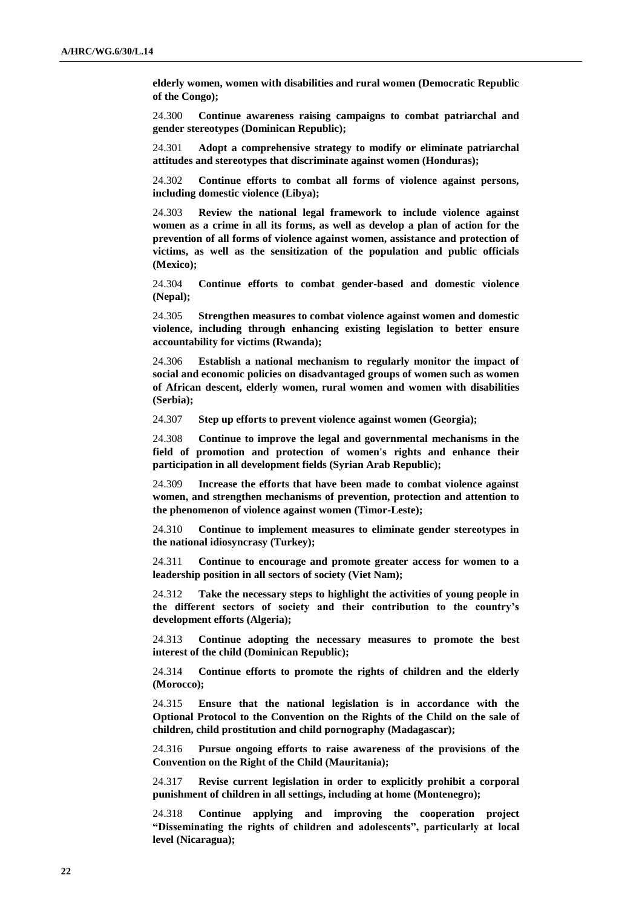**elderly women, women with disabilities and rural women (Democratic Republic of the Congo);**

24.300 **Continue awareness raising campaigns to combat patriarchal and gender stereotypes (Dominican Republic);**

24.301 **Adopt a comprehensive strategy to modify or eliminate patriarchal attitudes and stereotypes that discriminate against women (Honduras);**

24.302 **Continue efforts to combat all forms of violence against persons, including domestic violence (Libya);**

24.303 **Review the national legal framework to include violence against women as a crime in all its forms, as well as develop a plan of action for the prevention of all forms of violence against women, assistance and protection of victims, as well as the sensitization of the population and public officials (Mexico);**

24.304 **Continue efforts to combat gender-based and domestic violence (Nepal);**

24.305 **Strengthen measures to combat violence against women and domestic violence, including through enhancing existing legislation to better ensure accountability for victims (Rwanda);**

24.306 **Establish a national mechanism to regularly monitor the impact of social and economic policies on disadvantaged groups of women such as women of African descent, elderly women, rural women and women with disabilities (Serbia);**

24.307 **Step up efforts to prevent violence against women (Georgia);**

24.308 **Continue to improve the legal and governmental mechanisms in the field of promotion and protection of women's rights and enhance their participation in all development fields (Syrian Arab Republic);**

24.309 **Increase the efforts that have been made to combat violence against women, and strengthen mechanisms of prevention, protection and attention to the phenomenon of violence against women (Timor-Leste);**

24.310 **Continue to implement measures to eliminate gender stereotypes in the national idiosyncrasy (Turkey);**

24.311 **Continue to encourage and promote greater access for women to a leadership position in all sectors of society (Viet Nam);**

24.312 **Take the necessary steps to highlight the activities of young people in the different sectors of society and their contribution to the country's development efforts (Algeria);**

24.313 **Continue adopting the necessary measures to promote the best interest of the child (Dominican Republic);**

24.314 **Continue efforts to promote the rights of children and the elderly (Morocco);**

24.315 **Ensure that the national legislation is in accordance with the Optional Protocol to the Convention on the Rights of the Child on the sale of children, child prostitution and child pornography (Madagascar);**

24.316 **Pursue ongoing efforts to raise awareness of the provisions of the Convention on the Right of the Child (Mauritania);**

24.317 **Revise current legislation in order to explicitly prohibit a corporal punishment of children in all settings, including at home (Montenegro);**

24.318 **Continue applying and improving the cooperation project "Disseminating the rights of children and adolescents", particularly at local level (Nicaragua);**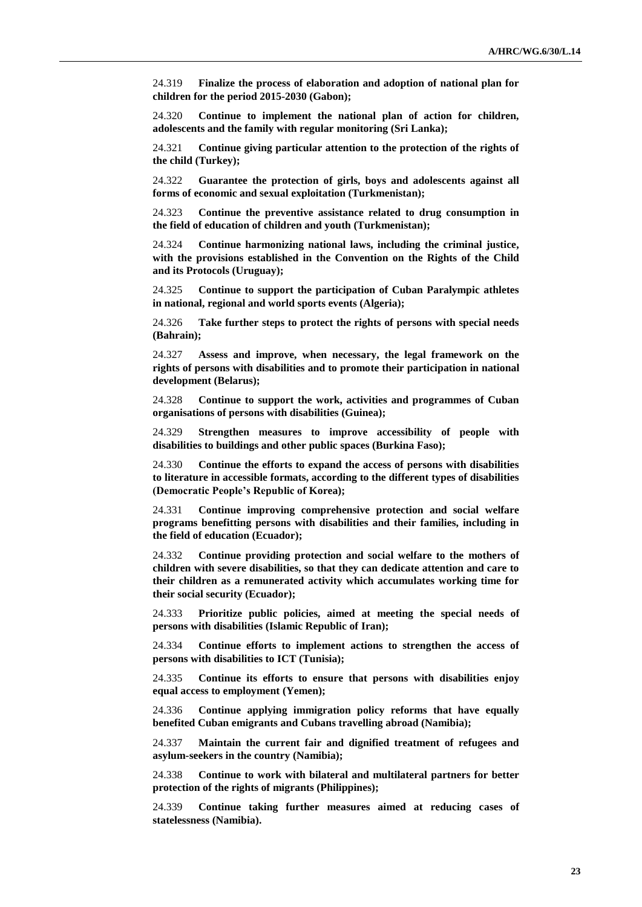24.319 **Finalize the process of elaboration and adoption of national plan for children for the period 2015-2030 (Gabon);**

24.320 **Continue to implement the national plan of action for children, adolescents and the family with regular monitoring (Sri Lanka);**

24.321 **Continue giving particular attention to the protection of the rights of the child (Turkey);**

24.322 **Guarantee the protection of girls, boys and adolescents against all forms of economic and sexual exploitation (Turkmenistan);**

24.323 **Continue the preventive assistance related to drug consumption in the field of education of children and youth (Turkmenistan);**

24.324 **Continue harmonizing national laws, including the criminal justice, with the provisions established in the Convention on the Rights of the Child and its Protocols (Uruguay);**

24.325 **Continue to support the participation of Cuban Paralympic athletes in national, regional and world sports events (Algeria);**

24.326 **Take further steps to protect the rights of persons with special needs (Bahrain);**

24.327 **Assess and improve, when necessary, the legal framework on the rights of persons with disabilities and to promote their participation in national development (Belarus);**

24.328 **Continue to support the work, activities and programmes of Cuban organisations of persons with disabilities (Guinea);**

24.329 **Strengthen measures to improve accessibility of people with disabilities to buildings and other public spaces (Burkina Faso);**

24.330 **Continue the efforts to expand the access of persons with disabilities to literature in accessible formats, according to the different types of disabilities (Democratic People's Republic of Korea);**

24.331 **Continue improving comprehensive protection and social welfare programs benefitting persons with disabilities and their families, including in the field of education (Ecuador);**

24.332 **Continue providing protection and social welfare to the mothers of children with severe disabilities, so that they can dedicate attention and care to their children as a remunerated activity which accumulates working time for their social security (Ecuador);**

24.333 **Prioritize public policies, aimed at meeting the special needs of persons with disabilities (Islamic Republic of Iran);**

24.334 **Continue efforts to implement actions to strengthen the access of persons with disabilities to ICT (Tunisia);**

24.335 **Continue its efforts to ensure that persons with disabilities enjoy equal access to employment (Yemen);**

24.336 **Continue applying immigration policy reforms that have equally benefited Cuban emigrants and Cubans travelling abroad (Namibia);**

24.337 **Maintain the current fair and dignified treatment of refugees and asylum-seekers in the country (Namibia);**

24.338 **Continue to work with bilateral and multilateral partners for better protection of the rights of migrants (Philippines);**

24.339 **Continue taking further measures aimed at reducing cases of statelessness (Namibia).**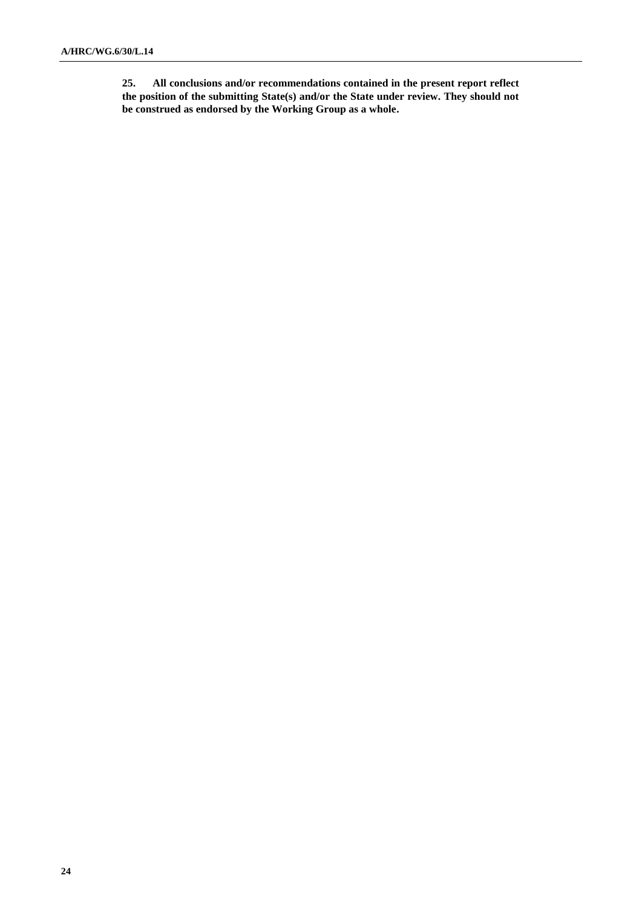**25. All conclusions and/or recommendations contained in the present report reflect the position of the submitting State(s) and/or the State under review. They should not be construed as endorsed by the Working Group as a whole.**